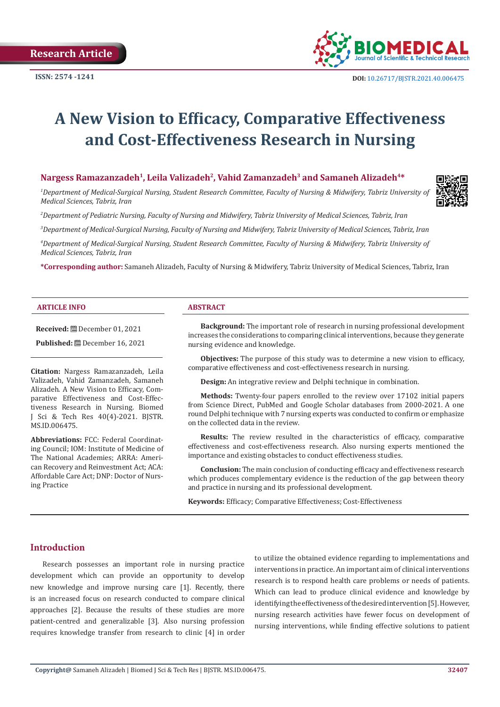

# **A New Vision to Efficacy, Comparative Effectiveness and Cost-Effectiveness Research in Nursing**

# **Nargess Ramazanzadeh<sup>1</sup>, Leila Valizadeh<sup>2</sup>, Vahid Zamanzadeh<sup>3</sup> and Samaneh Alizadeh4\***

*1 Department of Medical-Surgical Nursing, Student Research Committee, Faculty of Nursing & Midwifery, Tabriz University of Medical Sciences, Tabriz, Iran*

*2 Department of Pediatric Nursing, Faculty of Nursing and Midwifery, Tabriz University of Medical Sciences, Tabriz, Iran*

*3 Department of Medical-Surgical Nursing, Faculty of Nursing and Midwifery, Tabriz University of Medical Sciences, Tabriz, Iran*

*4 Department of Medical-Surgical Nursing, Student Research Committee, Faculty of Nursing & Midwifery, Tabriz University of Medical Sciences, Tabriz, Iran*

**\*Corresponding author:** Samaneh Alizadeh, Faculty of Nursing & Midwifery, Tabriz University of Medical Sciences, Tabriz, Iran

#### **ARTICLE INFO ABSTRACT**

**Received:** December 01, 2021

**Published:** December 16, 2021

**Citation:** Nargess Ramazanzadeh, Leila Valizadeh, Vahid Zamanzadeh, Samaneh Alizadeh. A New Vision to Efficacy, Comparative Effectiveness and Cost-Effectiveness Research in Nursing. Biomed J Sci & Tech Res 40(4)-2021. BJSTR. MS.ID.006475.

**Abbreviations:** FCC: Federal Coordinating Council; IOM: Institute of Medicine of The National Academies; ARRA: American Recovery and Reinvestment Act; ACA: Affordable Care Act; DNP: Doctor of Nursing Practice

**Background:** The important role of research in nursing professional development increases the considerations to comparing clinical interventions, because they generate nursing evidence and knowledge.

**Objectives:** The purpose of this study was to determine a new vision to efficacy, comparative effectiveness and cost-effectiveness research in nursing.

**Design:** An integrative review and Delphi technique in combination.

**Methods:** Twenty-four papers enrolled to the review over 17102 initial papers from Science Direct, PubMed and Google Scholar databases from 2000-2021. A one round Delphi technique with 7 nursing experts was conducted to confirm or emphasize on the collected data in the review.

**Results:** The review resulted in the characteristics of efficacy, comparative effectiveness and cost-effectiveness research. Also nursing experts mentioned the importance and existing obstacles to conduct effectiveness studies.

**Conclusion:** The main conclusion of conducting efficacy and effectiveness research which produces complementary evidence is the reduction of the gap between theory and practice in nursing and its professional development.

**Keywords:** Efficacy; Comparative Effectiveness; Cost-Effectiveness

# **Introduction**

Research possesses an important role in nursing practice development which can provide an opportunity to develop new knowledge and improve nursing care [1]. Recently, there is an increased focus on research conducted to compare clinical approaches [2]. Because the results of these studies are more patient-centred and generalizable [3]. Also nursing profession requires knowledge transfer from research to clinic [4] in order to utilize the obtained evidence regarding to implementations and interventions in practice. An important aim of clinical interventions research is to respond health care problems or needs of patients. Which can lead to produce clinical evidence and knowledge by identifying the effectiveness of the desired intervention [5]. However, nursing research activities have fewer focus on development of nursing interventions, while finding effective solutions to patient

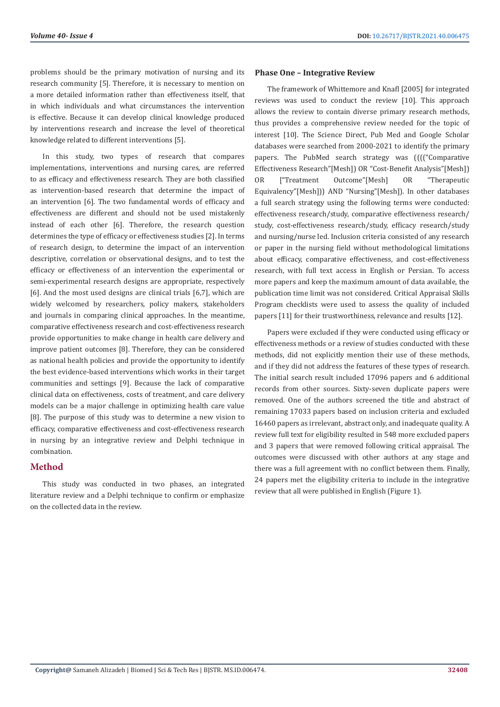problems should be the primary motivation of nursing and its research community [5]. Therefore, it is necessary to mention on a more detailed information rather than effectiveness itself, that in which individuals and what circumstances the intervention is effective. Because it can develop clinical knowledge produced by interventions research and increase the level of theoretical knowledge related to different interventions [5].

In this study, two types of research that compares implementations, interventions and nursing cares, are referred to as efficacy and effectiveness research. They are both classified as intervention-based research that determine the impact of an intervention [6]. The two fundamental words of efficacy and effectiveness are different and should not be used mistakenly instead of each other [6]. Therefore, the research question determines the type of efficacy or effectiveness studies [2]. In terms of research design, to determine the impact of an intervention descriptive, correlation or observational designs, and to test the efficacy or effectiveness of an intervention the experimental or semi-experimental research designs are appropriate, respectively [6]. And the most used designs are clinical trials [6,7], which are widely welcomed by researchers, policy makers, stakeholders and journals in comparing clinical approaches. In the meantime, comparative effectiveness research and cost-effectiveness research provide opportunities to make change in health care delivery and improve patient outcomes [8]. Therefore, they can be considered as national health policies and provide the opportunity to identify the best evidence-based interventions which works in their target communities and settings [9]. Because the lack of comparative clinical data on effectiveness, costs of treatment, and care delivery models can be a major challenge in optimizing health care value [8]. The purpose of this study was to determine a new vision to efficacy, comparative effectiveness and cost-effectiveness research in nursing by an integrative review and Delphi technique in combination.

# **Method**

This study was conducted in two phases, an integrated literature review and a Delphi technique to confirm or emphasize on the collected data in the review.

#### **Phase One – Integrative Review**

The framework of Whittemore and Knafl [2005] for integrated reviews was used to conduct the review [10]. This approach allows the review to contain diverse primary research methods, thus provides a comprehensive review needed for the topic of interest [10]. The Science Direct, Pub Med and Google Scholar databases were searched from 2000-2021 to identify the primary papers. The PubMed search strategy was (((("Comparative Effectiveness Research"[Mesh]) OR "Cost-Benefit Analysis"[Mesh]) OR ["Treatment Outcome"[Mesh] OR "Therapeutic Equivalency"[Mesh])) AND "Nursing"[Mesh]). In other databases a full search strategy using the following terms were conducted: effectiveness research/study, comparative effectiveness research/ study, cost-effectiveness research/study, efficacy research/study and nursing/nurse led. Inclusion criteria consisted of any research or paper in the nursing field without methodological limitations about efficacy, comparative effectiveness, and cost-effectiveness research, with full text access in English or Persian. To access more papers and keep the maximum amount of data available, the publication time limit was not considered. Critical Appraisal Skills Program checklists were used to assess the quality of included papers [11] for their trustworthiness, relevance and results [12].

Papers were excluded if they were conducted using efficacy or effectiveness methods or a review of studies conducted with these methods, did not explicitly mention their use of these methods, and if they did not address the features of these types of research. The initial search result included 17096 papers and 6 additional records from other sources. Sixty-seven duplicate papers were removed. One of the authors screened the title and abstract of remaining 17033 papers based on inclusion criteria and excluded 16460 papers as irrelevant, abstract only, and inadequate quality. A review full text for eligibility resulted in 548 more excluded papers and 3 papers that were removed following critical appraisal. The outcomes were discussed with other authors at any stage and there was a full agreement with no conflict between them. Finally, 24 papers met the eligibility criteria to include in the integrative review that all were published in English (Figure 1).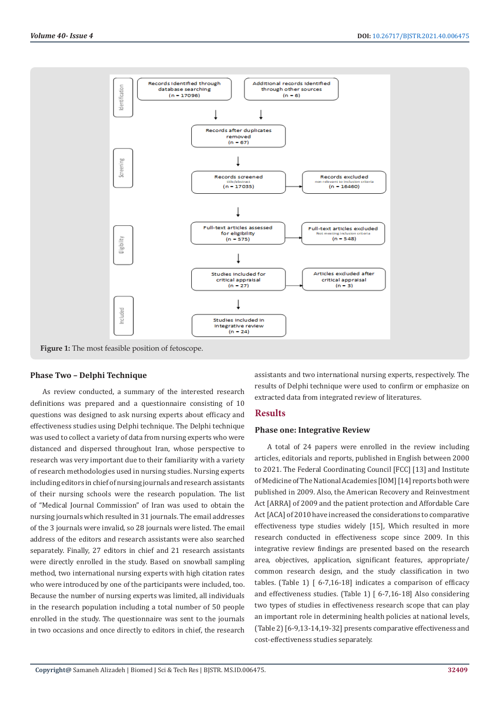

# **Phase Two – Delphi Technique**

As review conducted, a summary of the interested research definitions was prepared and a questionnaire consisting of 10 questions was designed to ask nursing experts about efficacy and effectiveness studies using Delphi technique. The Delphi technique was used to collect a variety of data from nursing experts who were distanced and dispersed throughout Iran, whose perspective to research was very important due to their familiarity with a variety of research methodologies used in nursing studies. Nursing experts including editors in chief of nursing journals and research assistants of their nursing schools were the research population. The list of "Medical Journal Commission" of Iran was used to obtain the nursing journals which resulted in 31 journals. The email addresses of the 3 journals were invalid, so 28 journals were listed. The email address of the editors and research assistants were also searched separately. Finally, 27 editors in chief and 21 research assistants were directly enrolled in the study. Based on snowball sampling method, two international nursing experts with high citation rates who were introduced by one of the participants were included, too. Because the number of nursing experts was limited, all individuals in the research population including a total number of 50 people enrolled in the study. The questionnaire was sent to the journals in two occasions and once directly to editors in chief, the research

assistants and two international nursing experts, respectively. The results of Delphi technique were used to confirm or emphasize on extracted data from integrated review of literatures.

#### **Results**

### **Phase one: Integrative Review**

A total of 24 papers were enrolled in the review including articles, editorials and reports, published in English between 2000 to 2021. The Federal Coordinating Council [FCC] [13] and Institute of Medicine of The National Academies [IOM] [14] reports both were published in 2009. Also, the American Recovery and Reinvestment Act [ARRA] of 2009 and the patient protection and Affordable Care Act [ACA] of 2010 have increased the considerations to comparative effectiveness type studies widely [15], Which resulted in more research conducted in effectiveness scope since 2009. In this integrative review findings are presented based on the research area, objectives, application, significant features, appropriate/ common research design, and the study classification in two tables. (Table 1) [ 6-7,16-18] indicates a comparison of efficacy and effectiveness studies. (Table 1) [ 6-7,16-18] Also considering two types of studies in effectiveness research scope that can play an important role in determining health policies at national levels, (Table 2) [6-9,13-14,19-32] presents comparative effectiveness and cost-effectiveness studies separately.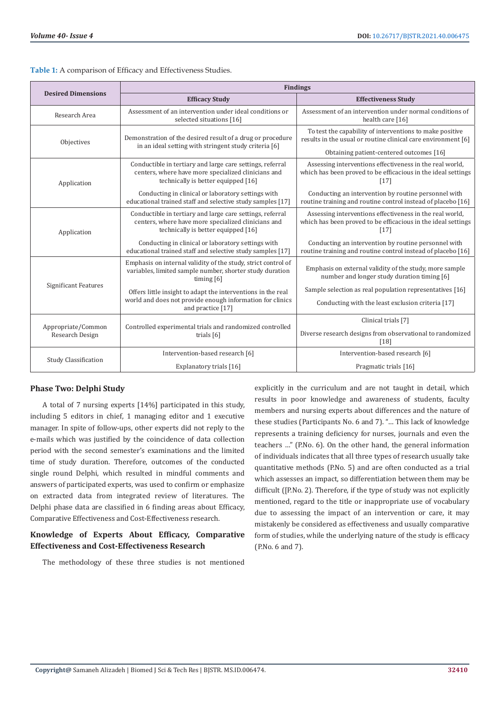| <b>Desired Dimensions</b>             | <b>Findings</b>                                                                                                                                         |                                                                                                                                                                       |  |
|---------------------------------------|---------------------------------------------------------------------------------------------------------------------------------------------------------|-----------------------------------------------------------------------------------------------------------------------------------------------------------------------|--|
|                                       | <b>Efficacy Study</b>                                                                                                                                   | <b>Effectiveness Study</b>                                                                                                                                            |  |
| Research Area                         | Assessment of an intervention under ideal conditions or<br>selected situations [16]                                                                     | Assessment of an intervention under normal conditions of<br>health care [16]                                                                                          |  |
| Objectives                            | Demonstration of the desired result of a drug or procedure<br>in an ideal setting with stringent study criteria [6]                                     | To test the capability of interventions to make positive<br>results in the usual or routine clinical care environment [6]<br>Obtaining patient-centered outcomes [16] |  |
| Application                           | Conductible in tertiary and large care settings, referral<br>centers, where have more specialized clinicians and<br>technically is better equipped [16] | Assessing interventions effectiveness in the real world,<br>which has been proved to be efficacious in the ideal settings<br>$[17]$                                   |  |
|                                       | Conducting in clinical or laboratory settings with<br>educational trained staff and selective study samples [17]                                        | Conducting an intervention by routine personnel with<br>routine training and routine control instead of placebo [16]                                                  |  |
| Application                           | Conductible in tertiary and large care settings, referral<br>centers, where have more specialized clinicians and<br>technically is better equipped [16] | Assessing interventions effectiveness in the real world,<br>which has been proved to be efficacious in the ideal settings<br>$[17]$                                   |  |
|                                       | Conducting in clinical or laboratory settings with<br>educational trained staff and selective study samples [17]                                        | Conducting an intervention by routine personnel with<br>routine training and routine control instead of placebo [16]                                                  |  |
| <b>Significant Features</b>           | Emphasis on internal validity of the study, strict control of<br>variables, limited sample number, shorter study duration<br>timing $[6]$               | Emphasis on external validity of the study, more sample<br>number and longer study duration timing [6]                                                                |  |
|                                       | Offers little insight to adapt the interventions in the real<br>world and does not provide enough information for clinics<br>and practice [17]          | Sample selection as real population representatives [16]<br>Conducting with the least exclusion criteria [17]                                                         |  |
| Appropriate/Common<br>Research Design | Controlled experimental trials and randomized controlled<br>trials [6]                                                                                  | Clinical trials [7]                                                                                                                                                   |  |
|                                       |                                                                                                                                                         | Diverse research designs from observational to randomized<br>[18]                                                                                                     |  |
| <b>Study Classification</b>           | Intervention-based research [6]                                                                                                                         | Intervention-based research [6]                                                                                                                                       |  |
|                                       | Explanatory trials [16]                                                                                                                                 | Pragmatic trials [16]                                                                                                                                                 |  |

#### **Table 1:** A comparison of Efficacy and Effectiveness Studies.

### **Phase Two: Delphi Study**

A total of 7 nursing experts [14%] participated in this study, including 5 editors in chief, 1 managing editor and 1 executive manager. In spite of follow-ups, other experts did not reply to the e-mails which was justified by the coincidence of data collection period with the second semester's examinations and the limited time of study duration. Therefore, outcomes of the conducted single round Delphi, which resulted in mindful comments and answers of participated experts, was used to confirm or emphasize on extracted data from integrated review of literatures. The Delphi phase data are classified in 6 finding areas about Efficacy, Comparative Effectiveness and Cost-Effectiveness research.

# **Knowledge of Experts About Efficacy, Comparative Effectiveness and Cost-Effectiveness Research**

The methodology of these three studies is not mentioned

explicitly in the curriculum and are not taught in detail, which results in poor knowledge and awareness of students, faculty members and nursing experts about differences and the nature of these studies (Participants No. 6 and 7). "… This lack of knowledge represents a training deficiency for nurses, journals and even the teachers …" (P.No. 6). On the other hand, the general information of individuals indicates that all three types of research usually take quantitative methods (P.No. 5) and are often conducted as a trial which assesses an impact, so differentiation between them may be difficult ([P.No. 2). Therefore, if the type of study was not explicitly mentioned, regard to the title or inappropriate use of vocabulary due to assessing the impact of an intervention or care, it may mistakenly be considered as effectiveness and usually comparative form of studies, while the underlying nature of the study is efficacy (P.No. 6 and 7).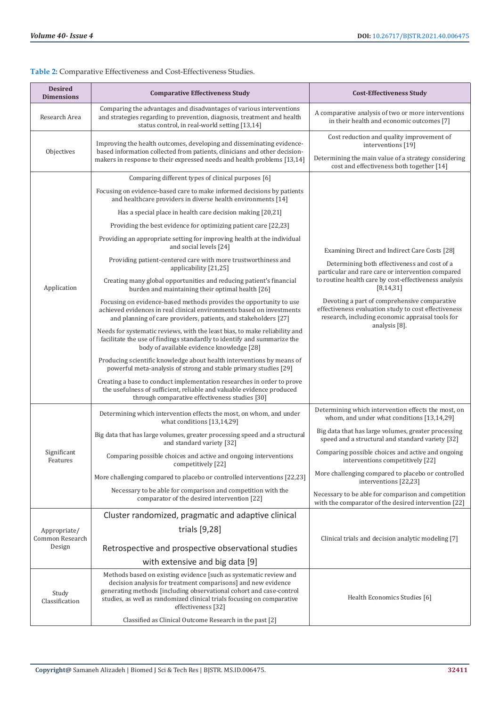| <b>Desired</b><br><b>Dimensions</b>       | <b>Comparative Effectiveness Study</b>                                                                                                                                                                                               | <b>Cost-Effectiveness Study</b>                                                                                                                                      |  |
|-------------------------------------------|--------------------------------------------------------------------------------------------------------------------------------------------------------------------------------------------------------------------------------------|----------------------------------------------------------------------------------------------------------------------------------------------------------------------|--|
| Research Area                             | Comparing the advantages and disadvantages of various interventions<br>and strategies regarding to prevention, diagnosis, treatment and health<br>status control, in real-world setting [13,14]                                      | A comparative analysis of two or more interventions<br>in their health and economic outcomes [7]                                                                     |  |
| Objectives                                | Improving the health outcomes, developing and disseminating evidence-<br>based information collected from patients, clinicians and other decision-<br>makers in response to their expressed needs and health problems [13,14]        | Cost reduction and quality improvement of<br>interventions [19]<br>Determining the main value of a strategy considering<br>cost and effectiveness both together [14] |  |
|                                           | Comparing different types of clinical purposes [6]                                                                                                                                                                                   |                                                                                                                                                                      |  |
| Application                               | Focusing on evidence-based care to make informed decisions by patients<br>and healthcare providers in diverse health environments [14]                                                                                               |                                                                                                                                                                      |  |
|                                           | Has a special place in health care decision making [20,21]                                                                                                                                                                           |                                                                                                                                                                      |  |
|                                           | Providing the best evidence for optimizing patient care [22,23]                                                                                                                                                                      |                                                                                                                                                                      |  |
|                                           | Providing an appropriate setting for improving health at the individual<br>and social levels [24]                                                                                                                                    | Examining Direct and Indirect Care Costs [28]                                                                                                                        |  |
|                                           | Providing patient-centered care with more trustworthiness and<br>applicability [21,25]                                                                                                                                               | Determining both effectiveness and cost of a<br>particular and rare care or intervention compared                                                                    |  |
|                                           | Creating many global opportunities and reducing patient's financial<br>burden and maintaining their optimal health [26]                                                                                                              | to routine health care by cost-effectiveness analysis<br>[8, 14, 31]                                                                                                 |  |
|                                           | Focusing on evidence-based methods provides the opportunity to use<br>achieved evidences in real clinical environments based on investments<br>and planning of care providers, patients, and stakeholders [27]                       | Devoting a part of comprehensive comparative<br>effectiveness evaluation study to cost effectiveness<br>research, including economic appraisal tools for             |  |
|                                           | Needs for systematic reviews, with the least bias, to make reliability and<br>facilitate the use of findings standardly to identify and summarize the<br>body of available evidence knowledge [28]                                   | analysis [8].                                                                                                                                                        |  |
|                                           | Producing scientific knowledge about health interventions by means of<br>powerful meta-analysis of strong and stable primary studies [29]                                                                                            |                                                                                                                                                                      |  |
|                                           | Creating a base to conduct implementation researches in order to prove<br>the usefulness of sufficient, reliable and valuable evidence produced<br>through comparative effectiveness studies [30]                                    |                                                                                                                                                                      |  |
| Significant<br>Features                   | Determining which intervention effects the most, on whom, and under<br>what conditions [13,14,29]                                                                                                                                    | Determining which intervention effects the most, on<br>whom, and under what conditions [13,14,29]                                                                    |  |
|                                           | Big data that has large volumes, greater processing speed and a structural<br>and standard variety [32]                                                                                                                              | Big data that has large volumes, greater processing<br>speed and a structural and standard variety [32]                                                              |  |
|                                           | Comparing possible choices and active and ongoing interventions<br>competitively [22]                                                                                                                                                | Comparing possible choices and active and ongoing<br>interventions competitively [22]                                                                                |  |
|                                           | More challenging compared to placebo or controlled interventions [22,23]                                                                                                                                                             | More challenging compared to placebo or controlled<br>interventions [22,23]                                                                                          |  |
|                                           | Necessary to be able for comparison and competition with the<br>comparator of the desired intervention [22]                                                                                                                          | Necessary to be able for comparison and competition<br>with the comparator of the desired intervention [22]                                                          |  |
| Appropriate/<br>Common Research<br>Design | Cluster randomized, pragmatic and adaptive clinical                                                                                                                                                                                  | Clinical trials and decision analytic modeling [7]                                                                                                                   |  |
|                                           | trials [9,28]                                                                                                                                                                                                                        |                                                                                                                                                                      |  |
|                                           | Retrospective and prospective observational studies                                                                                                                                                                                  |                                                                                                                                                                      |  |
|                                           |                                                                                                                                                                                                                                      |                                                                                                                                                                      |  |
| Study<br>Classification                   | with extensive and big data [9]<br>Methods based on existing evidence [such as systematic review and                                                                                                                                 |                                                                                                                                                                      |  |
|                                           | decision analysis for treatment comparisons] and new evidence<br>generating methods [including observational cohort and case-control<br>studies, as well as randomized clinical trials focusing on comparative<br>effectiveness [32] | Health Economics Studies [6]                                                                                                                                         |  |
|                                           | Classified as Clinical Outcome Research in the past [2]                                                                                                                                                                              |                                                                                                                                                                      |  |

## **Table 2:** Comparative Effectiveness and Cost-Effectiveness Studies.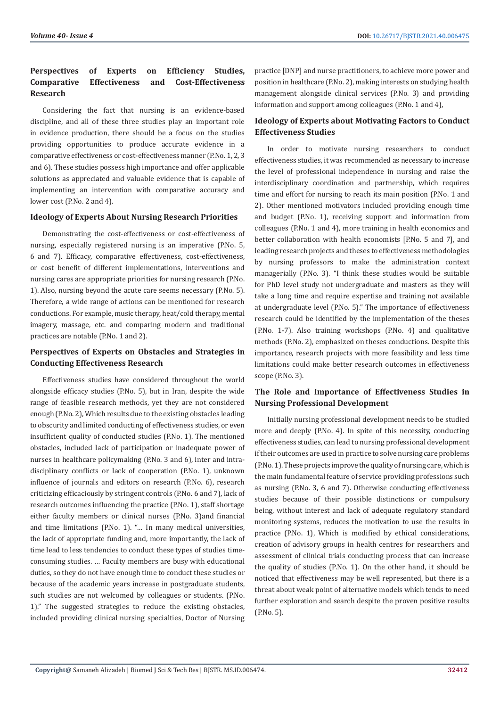# **Perspectives of Experts on Efficiency Studies, Comparative Effectiveness and Cost-Effectiveness Research**

Considering the fact that nursing is an evidence-based discipline, and all of these three studies play an important role in evidence production, there should be a focus on the studies providing opportunities to produce accurate evidence in a comparative effectiveness or cost-effectiveness manner (P.No. 1, 2, 3 and 6). These studies possess high importance and offer applicable solutions as appreciated and valuable evidence that is capable of implementing an intervention with comparative accuracy and lower cost (P.No. 2 and 4).

#### **Ideology of Experts About Nursing Research Priorities**

Demonstrating the cost-effectiveness or cost-effectiveness of nursing, especially registered nursing is an imperative (P.No. 5, 6 and 7). Efficacy, comparative effectiveness, cost-effectiveness, or cost benefit of different implementations, interventions and nursing cares are appropriate priorities for nursing research (P.No. 1). Also, nursing beyond the acute care seems necessary (P.No. 5). Therefore, a wide range of actions can be mentioned for research conductions. For example, music therapy, heat/cold therapy, mental imagery, massage, etc. and comparing modern and traditional practices are notable (P.No. 1 and 2).

# **Perspectives of Experts on Obstacles and Strategies in Conducting Effectiveness Research**

Effectiveness studies have considered throughout the world alongside efficacy studies (P.No. 5), but in Iran, despite the wide range of feasible research methods, yet they are not considered enough (P.No. 2), Which results due to the existing obstacles leading to obscurity and limited conducting of effectiveness studies, or even insufficient quality of conducted studies (P.No. 1). The mentioned obstacles, included lack of participation or inadequate power of nurses in healthcare policymaking (P.No. 3 and 6), inter and intradisciplinary conflicts or lack of cooperation (P.No. 1), unknown influence of journals and editors on research (P.No. 6), research criticizing efficaciously by stringent controls (P.No. 6 and 7), lack of research outcomes influencing the practice (P.No. 1), staff shortage either faculty members or clinical nurses (P.No. 3)and financial and time limitations (P.No. 1). "… In many medical universities, the lack of appropriate funding and, more importantly, the lack of time lead to less tendencies to conduct these types of studies timeconsuming studies. … Faculty members are busy with educational duties, so they do not have enough time to conduct these studies or because of the academic years increase in postgraduate students, such studies are not welcomed by colleagues or students. (P.No. 1)." The suggested strategies to reduce the existing obstacles, included providing clinical nursing specialties, Doctor of Nursing

practice [DNP] and nurse practitioners, to achieve more power and position in healthcare (P.No. 2), making interests on studying health management alongside clinical services (P.No. 3) and providing information and support among colleagues (P.No. 1 and 4),

# **Ideology of Experts about Motivating Factors to Conduct Effectiveness Studies**

In order to motivate nursing researchers to conduct effectiveness studies, it was recommended as necessary to increase the level of professional independence in nursing and raise the interdisciplinary coordination and partnership, which requires time and effort for nursing to reach its main position (P.No. 1 and 2). Other mentioned motivators included providing enough time and budget (P.No. 1), receiving support and information from colleagues (P.No. 1 and 4), more training in health economics and better collaboration with health economists [P.No. 5 and 7], and leading research projects and theses to effectiveness methodologies by nursing professors to make the administration context managerially (P.No. 3). "I think these studies would be suitable for PhD level study not undergraduate and masters as they will take a long time and require expertise and training not available at undergraduate level (P.No. 5)." The importance of effectiveness research could be identified by the implementation of the theses (P.No. 1-7). Also training workshops (P.No. 4) and qualitative methods (P.No. 2), emphasized on theses conductions. Despite this importance, research projects with more feasibility and less time limitations could make better research outcomes in effectiveness scope (P.No. 3).

# **The Role and Importance of Effectiveness Studies in Nursing Professional Development**

Initially nursing professional development needs to be studied more and deeply (P.No. 4). In spite of this necessity, conducting effectiveness studies, can lead to nursing professional development if their outcomes are used in practice to solve nursing care problems (P.No. 1). These projects improve the quality of nursing care, which is the main fundamental feature of service providing professions such as nursing (P.No. 3, 6 and 7). Otherwise conducting effectiveness studies because of their possible distinctions or compulsory being, without interest and lack of adequate regulatory standard monitoring systems, reduces the motivation to use the results in practice (P.No. 1), Which is modified by ethical considerations, creation of advisory groups in health centres for researchers and assessment of clinical trials conducting process that can increase the quality of studies (P.No. 1). On the other hand, it should be noticed that effectiveness may be well represented, but there is a threat about weak point of alternative models which tends to need further exploration and search despite the proven positive results (P.No. 5).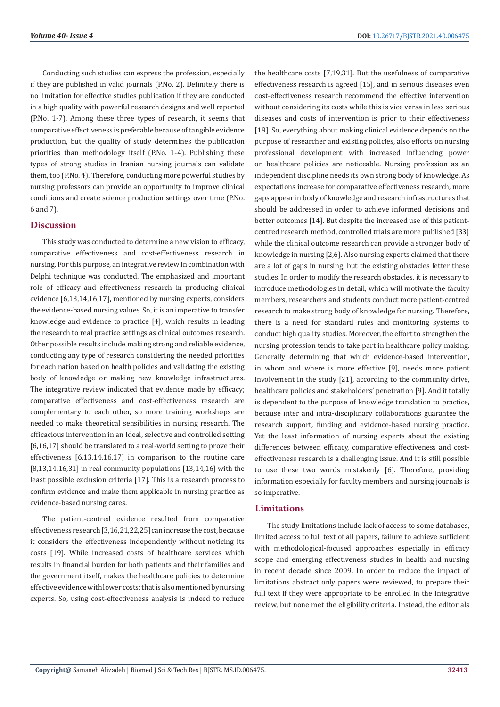Conducting such studies can express the profession, especially if they are published in valid journals (P.No. 2). Definitely there is no limitation for effective studies publication if they are conducted in a high quality with powerful research designs and well reported (P.No. 1-7). Among these three types of research, it seems that comparative effectiveness is preferable because of tangible evidence production, but the quality of study determines the publication priorities than methodology itself (P.No. 1-4). Publishing these types of strong studies in Iranian nursing journals can validate them, too (P.No. 4). Therefore, conducting more powerful studies by nursing professors can provide an opportunity to improve clinical conditions and create science production settings over time (P.No. 6 and 7).

# **Discussion**

This study was conducted to determine a new vision to efficacy, comparative effectiveness and cost-effectiveness research in nursing. For this purpose, an integrative review in combination with Delphi technique was conducted. The emphasized and important role of efficacy and effectiveness research in producing clinical evidence [6,13,14,16,17], mentioned by nursing experts, considers the evidence-based nursing values. So, it is an imperative to transfer knowledge and evidence to practice [4], which results in leading the research to real practice settings as clinical outcomes research. Other possible results include making strong and reliable evidence, conducting any type of research considering the needed priorities for each nation based on health policies and validating the existing body of knowledge or making new knowledge infrastructures. The integrative review indicated that evidence made by efficacy; comparative effectiveness and cost-effectiveness research are complementary to each other, so more training workshops are needed to make theoretical sensibilities in nursing research. The efficacious intervention in an Ideal, selective and controlled setting [6,16,17] should be translated to a real-world setting to prove their effectiveness [6,13,14,16,17] in comparison to the routine care  $[8,13,14,16,31]$  in real community populations  $[13,14,16]$  with the least possible exclusion criteria [17]. This is a research process to confirm evidence and make them applicable in nursing practice as evidence-based nursing cares.

The patient-centred evidence resulted from comparative effectiveness research [3,16,21,22,25] can increase the cost, because it considers the effectiveness independently without noticing its costs [19]. While increased costs of healthcare services which results in financial burden for both patients and their families and the government itself, makes the healthcare policies to determine effective evidence with lower costs; that is also mentioned by nursing experts. So, using cost-effectiveness analysis is indeed to reduce the healthcare costs [7,19,31]. But the usefulness of comparative effectiveness research is agreed [15], and in serious diseases even cost-effectiveness research recommend the effective intervention without considering its costs while this is vice versa in less serious diseases and costs of intervention is prior to their effectiveness [19]. So, everything about making clinical evidence depends on the purpose of researcher and existing policies, also efforts on nursing professional development with increased influencing power on healthcare policies are noticeable. Nursing profession as an independent discipline needs its own strong body of knowledge. As expectations increase for comparative effectiveness research, more gaps appear in body of knowledge and research infrastructures that should be addressed in order to achieve informed decisions and better outcomes [14]. But despite the increased use of this patientcentred research method, controlled trials are more published [33] while the clinical outcome research can provide a stronger body of knowledge in nursing [2,6]. Also nursing experts claimed that there are a lot of gaps in nursing, but the existing obstacles fetter these studies. In order to modify the research obstacles, it is necessary to introduce methodologies in detail, which will motivate the faculty members, researchers and students conduct more patient-centred research to make strong body of knowledge for nursing. Therefore, there is a need for standard rules and monitoring systems to conduct high quality studies. Moreover, the effort to strengthen the nursing profession tends to take part in healthcare policy making. Generally determining that which evidence-based intervention, in whom and where is more effective [9], needs more patient involvement in the study [21], according to the community drive, healthcare policies and stakeholders' penetration [9]. And it totally is dependent to the purpose of knowledge translation to practice, because inter and intra-disciplinary collaborations guarantee the research support, funding and evidence-based nursing practice. Yet the least information of nursing experts about the existing differences between efficacy, comparative effectiveness and costeffectiveness research is a challenging issue. And it is still possible to use these two words mistakenly [6]. Therefore, providing information especially for faculty members and nursing journals is so imperative.

### **Limitations**

The study limitations include lack of access to some databases, limited access to full text of all papers, failure to achieve sufficient with methodological-focused approaches especially in efficacy scope and emerging effectiveness studies in health and nursing in recent decade since 2009. In order to reduce the impact of limitations abstract only papers were reviewed, to prepare their full text if they were appropriate to be enrolled in the integrative review, but none met the eligibility criteria. Instead, the editorials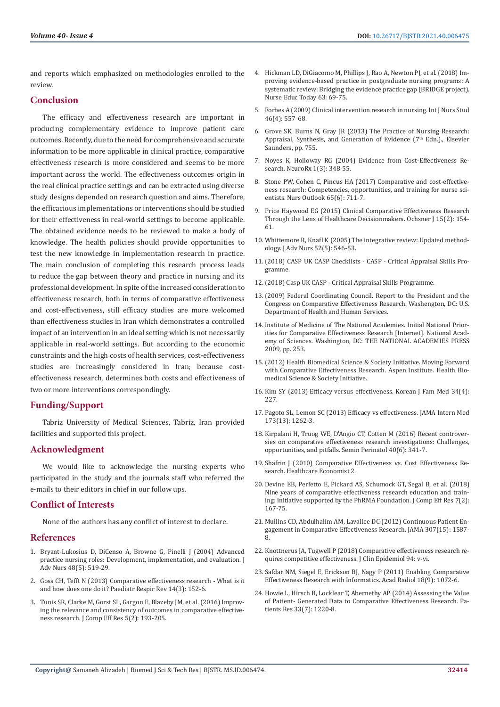and reports which emphasized on methodologies enrolled to the review.

# **Conclusion**

The efficacy and effectiveness research are important in producing complementary evidence to improve patient care outcomes. Recently, due to the need for comprehensive and accurate information to be more applicable in clinical practice, comparative effectiveness research is more considered and seems to be more important across the world. The effectiveness outcomes origin in the real clinical practice settings and can be extracted using diverse study designs depended on research question and aims. Therefore, the efficacious implementations or interventions should be studied for their effectiveness in real-world settings to become applicable. The obtained evidence needs to be reviewed to make a body of knowledge. The health policies should provide opportunities to test the new knowledge in implementation research in practice. The main conclusion of completing this research process leads to reduce the gap between theory and practice in nursing and its professional development. In spite of the increased consideration to effectiveness research, both in terms of comparative effectiveness and cost-effectiveness, still efficacy studies are more welcomed than effectiveness studies in Iran which demonstrates a controlled impact of an intervention in an ideal setting which is not necessarily applicable in real-world settings. But according to the economic constraints and the high costs of health services, cost-effectiveness studies are increasingly considered in Iran; because costeffectiveness research, determines both costs and effectiveness of two or more interventions correspondingly.

# **Funding/Support**

Tabriz University of Medical Sciences, Tabriz, Iran provided facilities and supported this project.

# **Acknowledgment**

We would like to acknowledge the nursing experts who participated in the study and the journals staff who referred the e-mails to their editors in chief in our follow ups.

# **Conflict of Interests**

None of the authors has any conflict of interest to declare.

### **References**

- 1. [Bryant-Lukosius D, DiCenso A, Browne G, Pinelli J \(2004\) Advanced](https://pubmed.ncbi.nlm.nih.gov/15533090/)  [practice nursing roles: Development, implementation, and evaluation. J](https://pubmed.ncbi.nlm.nih.gov/15533090/)  [Adv Nurs 48\(5\): 519-29.](https://pubmed.ncbi.nlm.nih.gov/15533090/)
- 2. [Goss CH, Tefft N \(2013\) Comparative effectiveness research What is it](https://pubmed.ncbi.nlm.nih.gov/23890806/)  [and how does one do it? Paediatr Respir Rev 14\(3\): 152-6.](https://pubmed.ncbi.nlm.nih.gov/23890806/)
- 3. [Tunis SR, Clarke M, Gorst SL, Gargon E, Blazeby JM, et al. \(2016\) Improv](https://pubmed.ncbi.nlm.nih.gov/26930385/)[ing the relevance and consistency of outcomes in comparative effective](https://pubmed.ncbi.nlm.nih.gov/26930385/)[ness research. J Comp Eff Res 5\(2\): 193-205.](https://pubmed.ncbi.nlm.nih.gov/26930385/)
- 4. [Hickman LD, DiGiacomo M, Phillips J, Rao A, Newton PJ, et al. \(2018\) Im](https://pubmed.ncbi.nlm.nih.gov/29407264/)[proving evidence-based practice in postgraduate nursing programs: A](https://pubmed.ncbi.nlm.nih.gov/29407264/) [systematic review: Bridging the evidence practice gap \(BRIDGE project\).](https://pubmed.ncbi.nlm.nih.gov/29407264/) [Nurse Educ Today 63: 69-75.](https://pubmed.ncbi.nlm.nih.gov/29407264/)
- 5. [Forbes A \(2009\) Clinical intervention research in nursing. Int J Nurs Stud](https://pubmed.ncbi.nlm.nih.gov/18930228/) [46\(4\): 557-68.](https://pubmed.ncbi.nlm.nih.gov/18930228/)
- 6. Grove SK, Burns N, Gray JR (2013) The Practice of Nursing Research: Appraisal, Synthesis, and Generation of Evidence (7<sup>th</sup> Edn.)., Elsevier Saunders, pp. 755.
- 7. [Noyes K, Holloway RG \(2004\) Evidence from Cost-Effectiveness Re](https://www.ncbi.nlm.nih.gov/labs/pmc/articles/PMC534938/)[search. NeuroRx 1\(3\): 348-55.](https://www.ncbi.nlm.nih.gov/labs/pmc/articles/PMC534938/)
- 8. [Stone PW, Cohen C, Pincus HA \(2017\) Comparative and cost-effective](https://pubmed.ncbi.nlm.nih.gov/28511787/)[ness research: Competencies, opportunities, and training for nurse sci](https://pubmed.ncbi.nlm.nih.gov/28511787/)[entists. Nurs Outlook 65\(6\): 711-7.](https://pubmed.ncbi.nlm.nih.gov/28511787/)
- 9. [Price Haywood EG \(2015\) Clinical Comparative Effectiveness Research](https://pubmed.ncbi.nlm.nih.gov/26130978/) [Through the Lens of Healthcare Decisionmakers. Ochsner J 15\(2\): 154-](https://pubmed.ncbi.nlm.nih.gov/26130978/) [61.](https://pubmed.ncbi.nlm.nih.gov/26130978/)
- 10. [Whittemore R, Knafl K \(2005\) The integrative review: Updated method](https://pubmed.ncbi.nlm.nih.gov/16268861/)[ology. J Adv Nurs 52\(5\): 546-53.](https://pubmed.ncbi.nlm.nih.gov/16268861/)
- 11.(2018) CASP UK CASP Checklists CASP Critical Appraisal Skills Programme.
- 12.(2018) Casp UK CASP Critical Appraisal Skills Programme.
- 13.(2009) Federal Coordinating Council. Report to the President and the Congress on Comparative Effectiveness Research. Washengton, DC: U.S. Department of Health and Human Services.
- 14. Institute of Medicine of The National Academies. Initial National Priorities for Comparative Effectiveness Research [Internet]. National Academy of Sciences. Washington, DC: THE NATIONAL ACADEMIES PRESS 2009, pp. 253.
- 15.(2012) Health Biomedical Science & Society Initiative. Moving Forward with Comparative Effectiveness Research. Aspen Institute. Health Biomedical Science & Society Initiative.
- 16. [Kim SY \(2013\) Efficacy versus effectiveness. Korean J Fam Med 34\(4\):](https://pubmed.ncbi.nlm.nih.gov/23904951/) [227.](https://pubmed.ncbi.nlm.nih.gov/23904951/)
- 17. [Pagoto SL, Lemon SC \(2013\) Efficacy vs effectiveness. JAMA Intern Med](https://pubmed.ncbi.nlm.nih.gov/23836268/) [173\(13\): 1262-3.](https://pubmed.ncbi.nlm.nih.gov/23836268/)
- 18. [Kirpalani H, Truog WE, D'Angio CT, Cotten M \(2016\) Recent controver](https://www.ncbi.nlm.nih.gov/labs/pmc/articles/PMC5222533/)[sies on comparative effectiveness research investigations: Challenges,](https://www.ncbi.nlm.nih.gov/labs/pmc/articles/PMC5222533/) [opportunities, and pitfalls. Semin Perinatol 40\(6\): 341-7.](https://www.ncbi.nlm.nih.gov/labs/pmc/articles/PMC5222533/)
- 19. Shafrin J (2010) Comparative Effectiveness vs. Cost Effectiveness Research. Healthcare Economist 2.
- 20. [Devine EB, Perfetto E, Pickard AS, Schumock GT, Segal B, et al. \(2018\)](https://pubmed.ncbi.nlm.nih.gov/29464964/) [Nine years of comparative effectiveness research education and train](https://pubmed.ncbi.nlm.nih.gov/29464964/)[ing: initiative supported by the PhRMA Foundation. J Comp Eff Res 7\(2\):](https://pubmed.ncbi.nlm.nih.gov/29464964/) [167-75.](https://pubmed.ncbi.nlm.nih.gov/29464964/)
- 21. [Mullins CD, Abdulhalim AM, Lavallee DC \(2012\) Continuous Patient En](https://jamanetwork.com/journals/jama/article-abstract/1148160)[gagement in Comparative Effectiveness Research. JAMA 307\(15\): 1587-](https://jamanetwork.com/journals/jama/article-abstract/1148160) [8.](https://jamanetwork.com/journals/jama/article-abstract/1148160)
- 22. [Knottnerus JA, Tugwell P \(2018\) Comparative effectiveness research re](https://pubmed.ncbi.nlm.nih.gov/29426413/)[quires competitive effectiveness. J Clin Epidemiol 94: v-vi.](https://pubmed.ncbi.nlm.nih.gov/29426413/)
- 23. [Safdar NM, Siegel E, Erickson BJ, Nagy P \(2011\) Enabling Comparative](https://pubmed.ncbi.nlm.nih.gov/21680206/) [Effectiveness Research with Informatics. Acad Radiol 18\(9\): 1072-6.](https://pubmed.ncbi.nlm.nih.gov/21680206/)
- 24. [Howie L, Hirsch B, Locklear T, Abernethy AP \(2014\) Assessing the Value](https://pubmed.ncbi.nlm.nih.gov/25006149/) [of Patient- Generated Data to Comparative Effectiveness Research. Pa](https://pubmed.ncbi.nlm.nih.gov/25006149/)[tients Res 33\(7\): 1220-8.](https://pubmed.ncbi.nlm.nih.gov/25006149/)